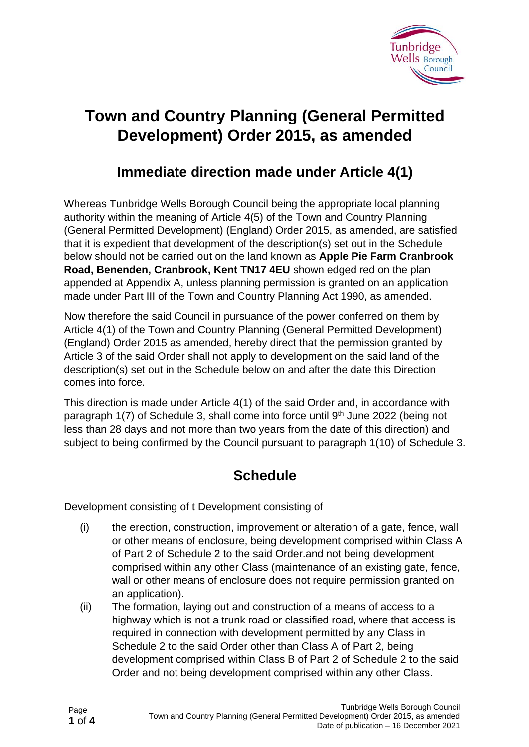

## **Town and Country Planning (General Permitted Development) Order 2015, as amended**

## **Immediate direction made under Article 4(1)**

Whereas Tunbridge Wells Borough Council being the appropriate local planning authority within the meaning of Article 4(5) of the Town and Country Planning (General Permitted Development) (England) Order 2015, as amended, are satisfied that it is expedient that development of the description(s) set out in the Schedule below should not be carried out on the land known as **Apple Pie Farm Cranbrook Road, Benenden, Cranbrook, Kent TN17 4EU** shown edged red on the plan appended at Appendix A, unless planning permission is granted on an application made under Part III of the Town and Country Planning Act 1990, as amended.

Now therefore the said Council in pursuance of the power conferred on them by Article 4(1) of the Town and Country Planning (General Permitted Development) (England) Order 2015 as amended, hereby direct that the permission granted by Article 3 of the said Order shall not apply to development on the said land of the description(s) set out in the Schedule below on and after the date this Direction comes into force.

This direction is made under Article 4(1) of the said Order and, in accordance with paragraph 1(7) of Schedule 3, shall come into force until 9<sup>th</sup> June 2022 (being not less than 28 days and not more than two years from the date of this direction) and subject to being confirmed by the Council pursuant to paragraph 1(10) of Schedule 3.

## **Schedule**

Development consisting of t Development consisting of

- (i) the erection, construction, improvement or alteration of a gate, fence, wall or other means of enclosure, being development comprised within Class A of Part 2 of Schedule 2 to the said Order.and not being development comprised within any other Class (maintenance of an existing gate, fence, wall or other means of enclosure does not require permission granted on an application).
- (ii) The formation, laying out and construction of a means of access to a highway which is not a trunk road or classified road, where that access is required in connection with development permitted by any Class in Schedule 2 to the said Order other than Class A of Part 2, being development comprised within Class B of Part 2 of Schedule 2 to the said Order and not being development comprised within any other Class.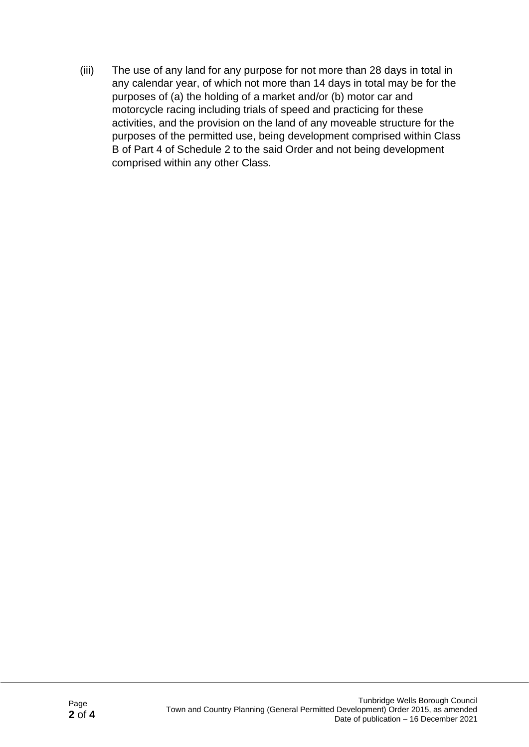(iii) The use of any land for any purpose for not more than 28 days in total in any calendar year, of which not more than 14 days in total may be for the purposes of (a) the holding of a market and/or (b) motor car and motorcycle racing including trials of speed and practicing for these activities, and the provision on the land of any moveable structure for the purposes of the permitted use, being development comprised within Class B of Part 4 of Schedule 2 to the said Order and not being development comprised within any other Class.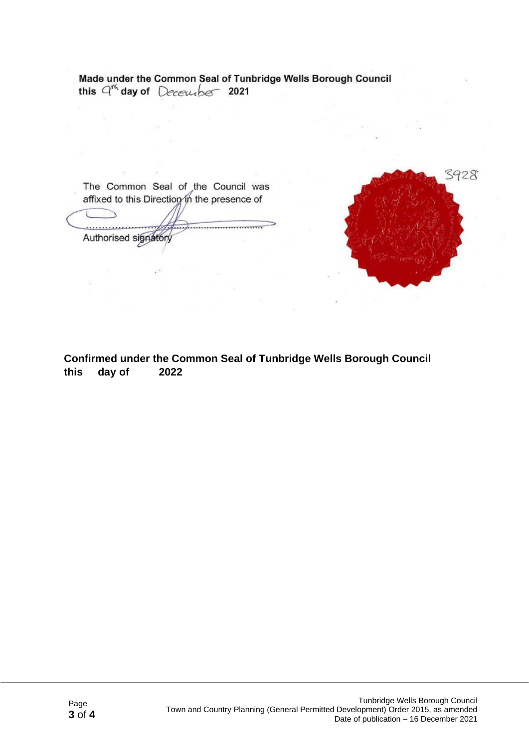Made under the Common Seal of Tunbridge Wells Borough Council this  $q^{t}$  day of December 2021

The Common Seal of the Council was affixed to this Direction in the presence of . . . . . . . . . . . . . . . Authorised signatory



**Confirmed under the Common Seal of Tunbridge Wells Borough Council this day of 2022**